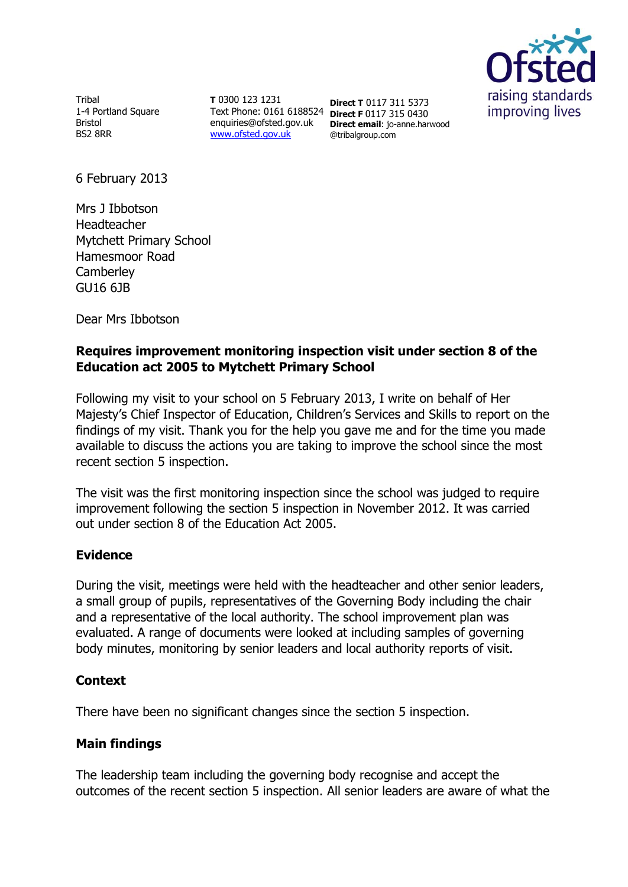

**Tribal** 1-4 Portland Square Bristol BS2 8RR

**T** 0300 123 1231 Text Phone: 0161 6188524 **Direct F** 0117 315 0430 enquiries@ofsted.gov.uk [www.ofsted.gov.uk](http://www.ofsted.gov.uk/)

**Direct T** 0117 311 5373 **Direct email**: jo-anne.harwood @tribalgroup.com

6 February 2013

Mrs J Ibbotson Headteacher Mytchett Primary School Hamesmoor Road **Camberley** GU16 6JB

Dear Mrs Ibbotson

# **Requires improvement monitoring inspection visit under section 8 of the Education act 2005 to Mytchett Primary School**

Following my visit to your school on 5 February 2013, I write on behalf of Her Majesty's Chief Inspector of Education, Children's Services and Skills to report on the findings of my visit. Thank you for the help you gave me and for the time you made available to discuss the actions you are taking to improve the school since the most recent section 5 inspection.

The visit was the first monitoring inspection since the school was judged to require improvement following the section 5 inspection in November 2012. It was carried out under section 8 of the Education Act 2005.

# **Evidence**

During the visit, meetings were held with the headteacher and other senior leaders, a small group of pupils, representatives of the Governing Body including the chair and a representative of the local authority. The school improvement plan was evaluated. A range of documents were looked at including samples of governing body minutes, monitoring by senior leaders and local authority reports of visit.

# **Context**

There have been no significant changes since the section 5 inspection.

# **Main findings**

The leadership team including the governing body recognise and accept the outcomes of the recent section 5 inspection. All senior leaders are aware of what the